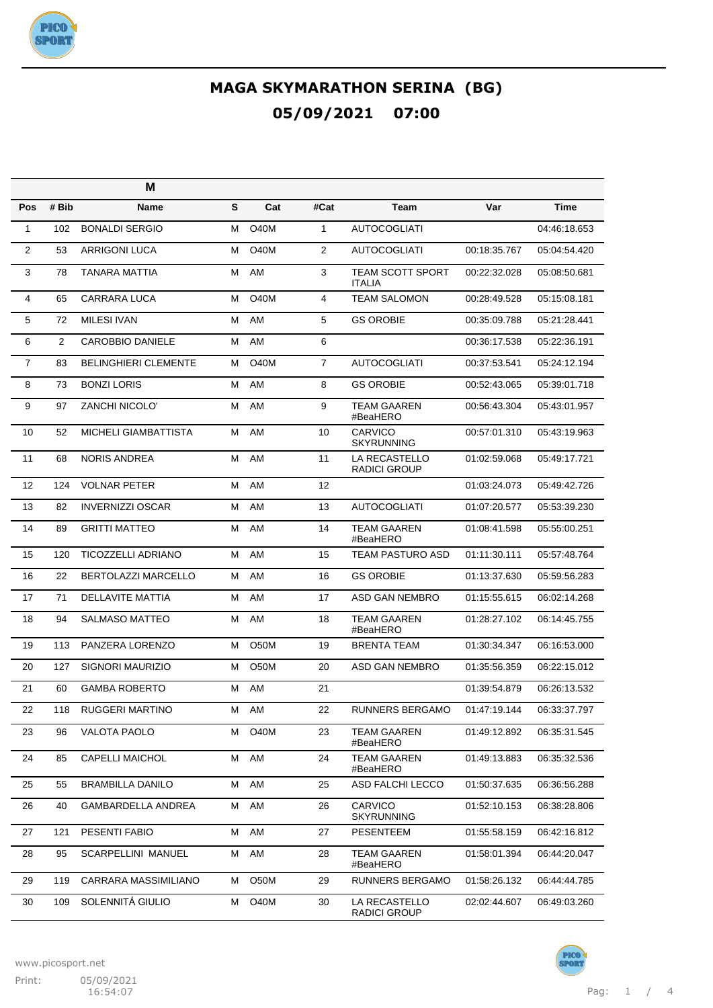

|                |       | M                           |   |                   |                |                                          |              |              |
|----------------|-------|-----------------------------|---|-------------------|----------------|------------------------------------------|--------------|--------------|
| Pos            | # Bib | Name                        | S | Cat               | #Cat           | Team                                     | Var          | <b>Time</b>  |
| 1              | 102   | <b>BONALDI SERGIO</b>       | м | <b>O40M</b>       | $\mathbf{1}$   | <b>AUTOCOGLIATI</b>                      |              | 04:46:18.653 |
| 2              | 53    | <b>ARRIGONI LUCA</b>        | м | <b>O40M</b>       | 2              | <b>AUTOCOGLIATI</b>                      | 00:18:35.767 | 05:04:54.420 |
| 3              | 78    | TANARA MATTIA               | м | AM                | 3              | <b>TEAM SCOTT SPORT</b><br><b>ITALIA</b> | 00:22:32.028 | 05:08:50.681 |
| 4              | 65    | CARRARA LUCA                | м | O40M              | 4              | <b>TEAM SALOMON</b>                      | 00:28:49.528 | 05:15:08.181 |
| 5              | 72    | <b>MILESI IVAN</b>          | м | AM                | 5              | <b>GS OROBIE</b>                         | 00:35:09.788 | 05:21:28.441 |
| 6              | 2     | <b>CAROBBIO DANIELE</b>     | м | AM                | 6              |                                          | 00:36:17.538 | 05:22:36.191 |
| $\overline{7}$ | 83    | <b>BELINGHIERI CLEMENTE</b> | м | <b>O40M</b>       | $\overline{7}$ | <b>AUTOCOGLIATI</b>                      | 00:37:53.541 | 05:24:12.194 |
| 8              | 73    | <b>BONZI LORIS</b>          | м | AM                | 8              | <b>GS OROBIE</b>                         | 00:52:43.065 | 05:39:01.718 |
| 9              | 97    | <b>ZANCHI NICOLO'</b>       | м | AM                | 9              | <b>TEAM GAAREN</b><br>#BeaHERO           | 00:56:43.304 | 05:43:01.957 |
| 10             | 52    | MICHELI GIAMBATTISTA        | м | AM                | 10             | <b>CARVICO</b><br><b>SKYRUNNING</b>      | 00:57:01.310 | 05:43:19.963 |
| 11             | 68    | <b>NORIS ANDREA</b>         | м | AM                | 11             | LA RECASTELLO<br><b>RADICI GROUP</b>     | 01:02:59.068 | 05:49:17.721 |
| 12             | 124   | <b>VOLNAR PETER</b>         | м | AM                | 12             |                                          | 01:03:24.073 | 05:49:42.726 |
| 13             | 82    | <b>INVERNIZZI OSCAR</b>     | м | AM                | 13             | <b>AUTOCOGLIATI</b>                      | 01:07:20.577 | 05:53:39.230 |
| 14             | 89    | <b>GRITTI MATTEO</b>        | м | AM                | 14             | <b>TEAM GAAREN</b><br>#BeaHERO           | 01:08:41.598 | 05:55:00.251 |
| 15             | 120   | <b>TICOZZELLI ADRIANO</b>   | М | AM                | 15             | <b>TEAM PASTURO ASD</b>                  | 01:11:30.111 | 05:57:48.764 |
| 16             | 22    | BERTOLAZZI MARCELLO         | М | AM                | 16             | <b>GS OROBIE</b>                         | 01:13:37.630 | 05:59:56.283 |
| 17             | 71    | <b>DELLAVITE MATTIA</b>     | М | AM                | 17             | ASD GAN NEMBRO                           | 01:15:55.615 | 06:02:14.268 |
| 18             | 94    | <b>SALMASO MATTEO</b>       | M | AM                | 18             | <b>TEAM GAAREN</b><br>#BeaHERO           | 01:28:27.102 | 06:14:45.755 |
| 19             | 113   | PANZERA LORENZO             | м | O50M              | 19             | <b>BRENTA TEAM</b>                       | 01:30:34.347 | 06:16:53.000 |
| 20             | 127   | SIGNORI MAURIZIO            | м | O <sub>5</sub> 0M | 20             | ASD GAN NEMBRO                           | 01:35:56.359 | 06:22:15.012 |
| 21             | 60    | <b>GAMBA ROBERTO</b>        | м | AM                | 21             |                                          | 01:39:54.879 | 06:26:13.532 |
| 22             | 118   | <b>RUGGERI MARTINO</b>      | м | AM                | 22             | <b>RUNNERS BERGAMO</b>                   | 01:47:19.144 | 06:33:37.797 |
| 23             | 96    | VALOTA PAOLO                | м | O40M              | 23             | <b>TEAM GAAREN</b><br>#BeaHERO           | 01:49:12.892 | 06:35:31.545 |
| 24             | 85    | <b>CAPELLI MAICHOL</b>      | м | AM                | 24             | <b>TEAM GAAREN</b><br>#BeaHERO           | 01:49:13.883 | 06:35:32.536 |
| 25             | 55    | <b>BRAMBILLA DANILO</b>     | м | AM                | 25             | ASD FALCHI LECCO                         | 01:50:37.635 | 06:36:56.288 |
| 26             | 40    | GAMBARDELLA ANDREA          | М | AM                | 26             | CARVICO<br><b>SKYRUNNING</b>             | 01:52:10.153 | 06:38:28.806 |
| 27             | 121   | PESENTI FABIO               | м | AM                | 27             | <b>PESENTEEM</b>                         | 01:55:58.159 | 06:42:16.812 |
| 28             | 95    | SCARPELLINI MANUEL          | М | AM                | 28             | <b>TEAM GAAREN</b><br>#BeaHERO           | 01:58:01.394 | 06:44:20.047 |
| 29             | 119   | CARRARA MASSIMILIANO        | м | O50M              | 29             | RUNNERS BERGAMO                          | 01:58:26.132 | 06:44:44.785 |
| 30             | 109   | SOLENNITÁ GIULIO            | м | <b>O40M</b>       | 30             | LA RECASTELLO<br>RADICI GROUP            | 02:02:44.607 | 06:49:03.260 |

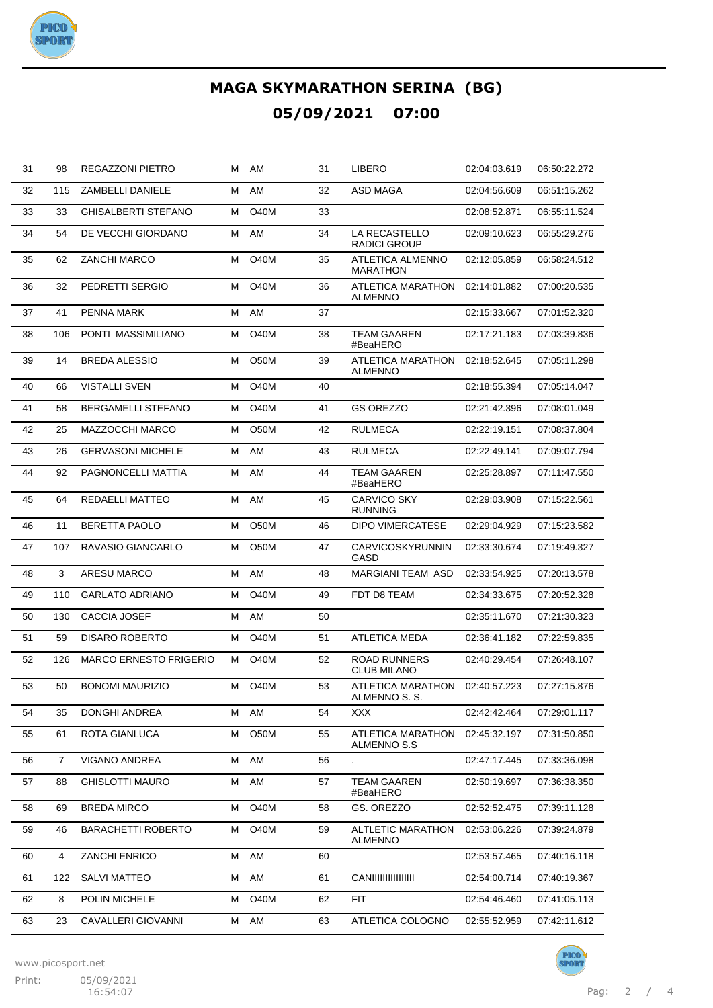

| 31 | 98             | REGAZZONI PIETRO              | м | AM                | 31 | LIBERO                                     | 02:04:03.619 | 06:50:22.272 |
|----|----------------|-------------------------------|---|-------------------|----|--------------------------------------------|--------------|--------------|
| 32 | 115            | <b>ZAMBELLI DANIELE</b>       | м | AM                | 32 | ASD MAGA                                   | 02:04:56.609 | 06:51:15.262 |
| 33 | 33             | <b>GHISALBERTI STEFANO</b>    | м | <b>O40M</b>       | 33 |                                            | 02:08:52.871 | 06:55:11.524 |
| 34 | 54             | DE VECCHI GIORDANO            | м | AM                | 34 | LA RECASTELLO<br>RADICI GROUP              | 02:09:10.623 | 06:55:29.276 |
| 35 | 62             | <b>ZANCHI MARCO</b>           | м | <b>O40M</b>       | 35 | <b>ATLETICA ALMENNO</b><br><b>MARATHON</b> | 02:12:05.859 | 06:58:24.512 |
| 36 | 32             | PEDRETTI SERGIO               | м | <b>O40M</b>       | 36 | <b>ATLETICA MARATHON</b><br><b>ALMENNO</b> | 02:14:01.882 | 07:00:20.535 |
| 37 | 41             | PENNA MARK                    | м | AM                | 37 |                                            | 02:15:33.667 | 07:01:52.320 |
| 38 | 106            | PONTI MASSIMILIANO            | м | <b>O40M</b>       | 38 | <b>TEAM GAAREN</b><br>#BeaHERO             | 02:17:21.183 | 07:03:39.836 |
| 39 | 14             | <b>BREDA ALESSIO</b>          | м | O50M              | 39 | ATLETICA MARATHON<br><b>ALMENNO</b>        | 02:18:52.645 | 07:05:11.298 |
| 40 | 66             | <b>VISTALLI SVEN</b>          | м | <b>O40M</b>       | 40 |                                            | 02:18:55.394 | 07:05:14.047 |
| 41 | 58             | BERGAMELLI STEFANO            | м | <b>O40M</b>       | 41 | <b>GS OREZZO</b>                           | 02:21:42.396 | 07:08:01.049 |
| 42 | 25             | MAZZOCCHI MARCO               | м | O50M              | 42 | <b>RULMECA</b>                             | 02:22:19.151 | 07:08:37.804 |
| 43 | 26             | <b>GERVASONI MICHELE</b>      | м | AM                | 43 | <b>RULMECA</b>                             | 02:22:49.141 | 07:09:07.794 |
| 44 | 92             | PAGNONCELLI MATTIA            | м | AM                | 44 | <b>TEAM GAAREN</b><br>#BeaHERO             | 02:25:28.897 | 07:11:47.550 |
| 45 | 64             | REDAELLI MATTEO               | м | AM                | 45 | <b>CARVICO SKY</b><br><b>RUNNING</b>       | 02:29:03.908 | 07:15:22.561 |
| 46 | 11             | <b>BERETTA PAOLO</b>          | M | O <sub>5</sub> 0M | 46 | <b>DIPO VIMERCATESE</b>                    | 02:29:04.929 | 07:15:23.582 |
| 47 | 107            | RAVASIO GIANCARLO             | М | O50M              | 47 | CARVICOSKYRUNNIN<br>GASD                   | 02:33:30.674 | 07:19:49.327 |
| 48 | 3              | ARESU MARCO                   | м | AM                | 48 | <b>MARGIANI TEAM ASD</b>                   | 02:33:54.925 | 07:20:13.578 |
| 49 | 110            | <b>GARLATO ADRIANO</b>        | м | O40M              | 49 | FDT D8 TEAM                                | 02:34:33.675 | 07:20:52.328 |
| 50 | 130            | CACCIA JOSEF                  | М | AM                | 50 |                                            | 02:35:11.670 | 07:21:30.323 |
| 51 | 59             | <b>DISARO ROBERTO</b>         | м | O40M              | 51 | <b>ATLETICA MEDA</b>                       | 02:36:41.182 | 07:22:59.835 |
| 52 | 126            | <b>MARCO ERNESTO FRIGERIO</b> | м | O <sub>4</sub> 0M | 52 | <b>ROAD RUNNERS</b><br><b>CLUB MILANO</b>  | 02:40:29.454 | 07:26:48.107 |
| 53 | 50             | <b>BONOMI MAURIZIO</b>        | м | <b>O40M</b>       | 53 | ATLETICA MARATHON<br>ALMENNO S. S.         | 02:40:57.223 | 07:27:15.876 |
| 54 | 35             | DONGHI ANDREA                 | М | AM                | 54 | <b>XXX</b>                                 | 02:42:42.464 | 07:29:01.117 |
| 55 | 61             | ROTA GIANLUCA                 | М | O50M              | 55 | ATLETICA MARATHON<br>ALMENNO S.S           | 02:45:32.197 | 07:31:50.850 |
| 56 | $\overline{7}$ | VIGANO ANDREA                 | м | AM                | 56 |                                            | 02:47:17.445 | 07:33:36.098 |
| 57 | 88             | <b>GHISLOTTI MAURO</b>        | М | AM                | 57 | <b>TEAM GAAREN</b><br>#BeaHERO             | 02:50:19.697 | 07:36:38.350 |
| 58 | 69             | <b>BREDA MIRCO</b>            | м | O40M              | 58 | GS. OREZZO                                 | 02:52:52.475 | 07:39:11.128 |
| 59 | 46             | <b>BARACHETTI ROBERTO</b>     | М | <b>O40M</b>       | 59 | <b>ALTLETIC MARATHON</b><br><b>ALMENNO</b> | 02:53:06.226 | 07:39:24.879 |
| 60 | 4              | ZANCHI ENRICO                 | м | AM                | 60 |                                            | 02:53:57.465 | 07:40:16.118 |
| 61 | 122            | <b>SALVI MATTEO</b>           | М | AM                | 61 | <b>CANIIIIIIIIIIIIIII</b>                  | 02:54:00.714 | 07:40:19.367 |
| 62 | 8              | POLIN MICHELE                 | М | O40M              | 62 | <b>FIT</b>                                 | 02:54:46.460 | 07:41:05.113 |
| 63 | 23             | CAVALLERI GIOVANNI            | М | AM                | 63 | ATLETICA COLOGNO                           | 02:55:52.959 | 07:42:11.612 |

www.picosport.net

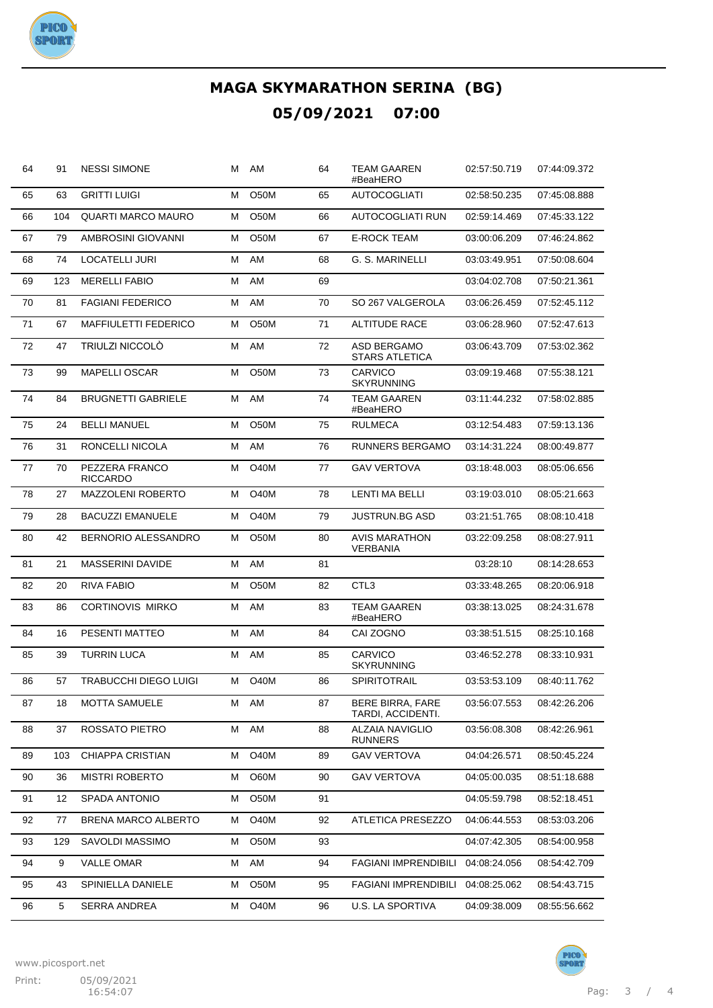

| 64 | 91  | <b>NESSI SIMONE</b>               | м | AM                | 64 | <b>TEAM GAAREN</b><br>#BeaHERO           | 02:57:50.719 | 07:44:09.372 |
|----|-----|-----------------------------------|---|-------------------|----|------------------------------------------|--------------|--------------|
| 65 | 63  | <b>GRITTI LUIGI</b>               | Μ | O50M              | 65 | <b>AUTOCOGLIATI</b>                      | 02:58:50.235 | 07:45:08.888 |
| 66 | 104 | <b>QUARTI MARCO MAURO</b>         | М | O <sub>5</sub> 0M | 66 | AUTOCOGLIATI RUN                         | 02:59:14.469 | 07:45:33.122 |
| 67 | 79  | AMBROSINI GIOVANNI                | Μ | O50M              | 67 | <b>E-ROCK TEAM</b>                       | 03:00:06.209 | 07:46:24.862 |
| 68 | 74  | LOCATELLI JURI                    | М | AM                | 68 | G. S. MARINELLI                          | 03:03:49.951 | 07:50:08.604 |
| 69 | 123 | <b>MERELLI FABIO</b>              | Μ | AM                | 69 |                                          | 03:04:02.708 | 07:50:21.361 |
| 70 | 81  | <b>FAGIANI FEDERICO</b>           | М | AM                | 70 | SO 267 VALGEROLA                         | 03:06:26.459 | 07:52:45.112 |
| 71 | 67  | <b>MAFFIULETTI FEDERICO</b>       | Μ | O <sub>5</sub> 0M | 71 | ALTITUDE RACE                            | 03:06:28.960 | 07:52:47.613 |
| 72 | 47  | <b>TRIULZI NICCOLO</b>            | М | AM                | 72 | ASD BERGAMO<br><b>STARS ATLETICA</b>     | 03:06:43.709 | 07:53:02.362 |
| 73 | 99  | <b>MAPELLI OSCAR</b>              | м | O50M              | 73 | CARVICO<br>SKYRUNNING                    | 03:09:19.468 | 07:55:38.121 |
| 74 | 84  | <b>BRUGNETTI GABRIELE</b>         | м | AM                | 74 | <b>TEAM GAAREN</b><br>#BeaHERO           | 03:11:44.232 | 07:58:02.885 |
| 75 | 24  | <b>BELLI MANUEL</b>               | Μ | O50M              | 75 | <b>RULMECA</b>                           | 03:12:54.483 | 07:59:13.136 |
| 76 | 31  | RONCELLI NICOLA                   | М | AM                | 76 | RUNNERS BERGAMO                          | 03:14:31.224 | 08:00:49.877 |
| 77 | 70  | PEZZERA FRANCO<br><b>RICCARDO</b> | Μ | O40M              | 77 | <b>GAV VERTOVA</b>                       | 03:18:48.003 | 08:05:06.656 |
| 78 | 27  | MAZZOLENI ROBERTO                 | м | <b>O40M</b>       | 78 | <b>LENTI MA BELLI</b>                    | 03:19:03.010 | 08:05:21.663 |
| 79 | 28  | <b>BACUZZI EMANUELE</b>           | м | <b>O40M</b>       | 79 | JUSTRUN.BG ASD                           | 03:21:51.765 | 08:08:10.418 |
| 80 | 42  | <b>BERNORIO ALESSANDRO</b>        | м | O <sub>5</sub> 0M | 80 | AVIS MARATHON<br><b>VERBANIA</b>         | 03:22:09.258 | 08:08:27.911 |
| 81 | 21  | MASSERINI DAVIDE                  | Μ | AM                | 81 |                                          | 03:28:10     | 08:14:28.653 |
| 82 | 20  | RIVA FABIO                        | м | O50M              | 82 | CTL3                                     | 03:33:48.265 | 08:20:06.918 |
| 83 | 86  | <b>CORTINOVIS MIRKO</b>           | м | AM                | 83 | TEAM GAAREN<br>#BeaHERO                  | 03:38:13.025 | 08:24:31.678 |
| 84 | 16  | PESENTI MATTEO                    | М | AM                | 84 | CAI ZOGNO                                | 03:38:51.515 | 08:25:10.168 |
| 85 | 39  | <b>TURRIN LUCA</b>                | М | AM                | 85 | CARVICO<br><b>SKYRUNNING</b>             | 03:46:52.278 | 08:33:10.931 |
| 86 | 57  | <b>TRABUCCHI DIEGO LUIGI</b>      | м | <b>O40M</b>       | 86 | SPIRITOTRAIL                             | 03:53:53.109 | 08:40:11.762 |
| 87 | 18  | <b>MOTTA SAMUELE</b>              | М | AM                | 87 | BERE BIRRA, FARE<br>TARDI, ACCIDENTI.    | 03:56:07.553 | 08:42:26.206 |
| 88 | 37  | ROSSATO PIETRO                    | М | AM                | 88 | <b>ALZAIA NAVIGLIO</b><br><b>RUNNERS</b> | 03:56:08.308 | 08:42:26.961 |
| 89 | 103 | CHIAPPA CRISTIAN                  | М | O40M              | 89 | <b>GAV VERTOVA</b>                       | 04:04:26.571 | 08:50:45.224 |
| 90 | 36  | <b>MISTRI ROBERTO</b>             | М | O60M              | 90 | <b>GAV VERTOVA</b>                       | 04:05:00.035 | 08:51:18.688 |
| 91 | 12  | SPADA ANTONIO                     | М | O50M              | 91 |                                          | 04:05:59.798 | 08:52:18.451 |
| 92 | 77  | BRENA MARCO ALBERTO               | Μ | O40M              | 92 | ATLETICA PRESEZZO                        | 04:06:44.553 | 08:53:03.206 |
| 93 | 129 | SAVOLDI MASSIMO                   | М | O50M              | 93 |                                          | 04:07:42.305 | 08:54:00.958 |
| 94 | 9   | <b>VALLE OMAR</b>                 | Μ | AM                | 94 | <b>FAGIANI IMPRENDIBILI</b>              | 04:08:24.056 | 08:54:42.709 |
| 95 | 43  | SPINIELLA DANIELE                 | Μ | O50M              | 95 | <b>FAGIANI IMPRENDIBILI</b>              | 04:08:25.062 | 08:54:43.715 |
| 96 | 5   | <b>SERRA ANDREA</b>               | Μ | O40M              | 96 | U.S. LA SPORTIVA                         | 04:09:38.009 | 08:55:56.662 |



**PICO**